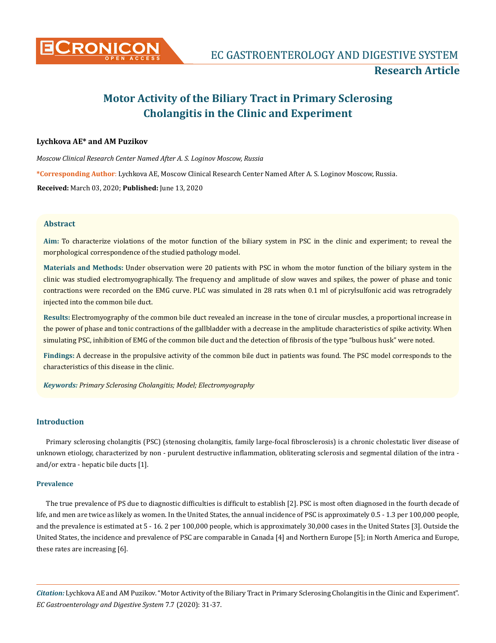

# **Motor Activity of the Biliary Tract in Primary Sclerosing Cholangitis in the Clinic and Experiment**

# **Lychkova AE\* and AM Puzikov**

*Moscow Clinical Research Center Named After A. S. Loginov Moscow, Russia* **\*Corresponding Author**: Lychkova AE, Moscow Clinical Research Center Named After A. S. Loginov Moscow, Russia. **Received:** March 03, 2020; **Published:** June 13, 2020

# **Abstract**

**Aim:** To characterize violations of the motor function of the biliary system in PSC in the clinic and experiment; to reveal the morphological correspondence of the studied pathology model.

**Materials and Methods:** Under observation were 20 patients with PSC in whom the motor function of the biliary system in the clinic was studied electromyographically. The frequency and amplitude of slow waves and spikes, the power of phase and tonic contractions were recorded on the EMG curve. PLC was simulated in 28 rats when 0.1 ml of picrylsulfonic acid was retrogradely injected into the common bile duct.

**Results:** Electromyography of the common bile duct revealed an increase in the tone of circular muscles, a proportional increase in the power of phase and tonic contractions of the gallbladder with a decrease in the amplitude characteristics of spike activity. When simulating PSC, inhibition of EMG of the common bile duct and the detection of fibrosis of the type "bulbous husk" were noted.

**Findings:** A decrease in the propulsive activity of the common bile duct in patients was found. The PSC model corresponds to the characteristics of this disease in the clinic.

*Keywords: Primary Sclerosing Cholangitis; Model; Electromyography*

# **Introduction**

Primary sclerosing cholangitis (PSC) (stenosing cholangitis, family large-focal fibrosclerosis) is a chronic cholestatic liver disease of unknown etiology, characterized by non - purulent destructive inflammation, obliterating sclerosis and segmental dilation of the intra and/or extra - hepatic bile ducts [1].

## **Prevalence**

The true prevalence of PS due to diagnostic difficulties is difficult to establish [2]. PSC is most often diagnosed in the fourth decade of life, and men are twice as likely as women. In the United States, the annual incidence of PSC is approximately 0.5 - 1.3 per 100,000 people, and the prevalence is estimated at 5 - 16. 2 per 100,000 people, which is approximately 30,000 cases in the United States [3]. Outside the United States, the incidence and prevalence of PSC are comparable in Canada [4] and Northern Europe [5]; in North America and Europe, these rates are increasing [6].

*Citation:* Lychkova AE and AM Puzikov. "Motor Activity of the Biliary Tract in Primary Sclerosing Cholangitis in the Clinic and Experiment". *EC Gastroenterology and Digestive System* 7.7 (2020): 31-37.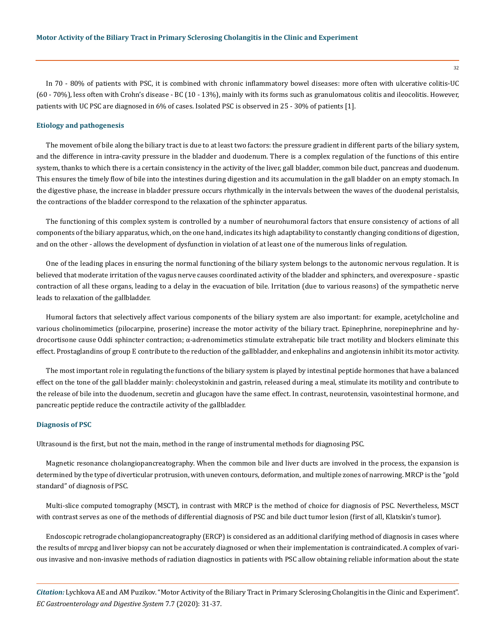In 70 - 80% of patients with PSC, it is combined with chronic inflammatory bowel diseases: more often with ulcerative colitis-UC (60 - 70%), less often with Crohn's disease - BC (10 - 13%), mainly with its forms such as granulomatous colitis and ileocolitis. However, patients with UC PSC are diagnosed in 6% of cases. Isolated PSC is observed in 25 - 30% of patients [1].

#### **Etiology and pathogenesis**

The movement of bile along the biliary tract is due to at least two factors: the pressure gradient in different parts of the biliary system, and the difference in intra-cavity pressure in the bladder and duodenum. There is a complex regulation of the functions of this entire system, thanks to which there is a certain consistency in the activity of the liver, gall bladder, common bile duct, pancreas and duodenum. This ensures the timely flow of bile into the intestines during digestion and its accumulation in the gall bladder on an empty stomach. In the digestive phase, the increase in bladder pressure occurs rhythmically in the intervals between the waves of the duodenal peristalsis, the contractions of the bladder correspond to the relaxation of the sphincter apparatus.

The functioning of this complex system is controlled by a number of neurohumoral factors that ensure consistency of actions of all components of the biliary apparatus, which, on the one hand, indicates its high adaptability to constantly changing conditions of digestion, and on the other - allows the development of dysfunction in violation of at least one of the numerous links of regulation.

One of the leading places in ensuring the normal functioning of the biliary system belongs to the autonomic nervous regulation. It is believed that moderate irritation of the vagus nerve causes coordinated activity of the bladder and sphincters, and overexposure - spastic contraction of all these organs, leading to a delay in the evacuation of bile. Irritation (due to various reasons) of the sympathetic nerve leads to relaxation of the gallbladder.

Humoral factors that selectively affect various components of the biliary system are also important: for example, acetylcholine and various cholinomimetics (pilocarpine, proserine) increase the motor activity of the biliary tract. Epinephrine, norepinephrine and hydrocortisone cause Oddi sphincter contraction; α-adrenomimetics stimulate extrahepatic bile tract motility and blockers eliminate this effect. Prostaglandins of group E contribute to the reduction of the gallbladder, and enkephalins and angiotensin inhibit its motor activity.

The most important role in regulating the functions of the biliary system is played by intestinal peptide hormones that have a balanced effect on the tone of the gall bladder mainly: cholecystokinin and gastrin, released during a meal, stimulate its motility and contribute to the release of bile into the duodenum, secretin and glucagon have the same effect. In contrast, neurotensin, vasointestinal hormone, and pancreatic peptide reduce the contractile activity of the gallbladder.

## **Diagnosis of PSC**

Ultrasound is the first, but not the main, method in the range of instrumental methods for diagnosing PSC.

Magnetic resonance cholangiopancreatography. When the common bile and liver ducts are involved in the process, the expansion is determined by the type of diverticular protrusion, with uneven contours, deformation, and multiple zones of narrowing. MRCP is the "gold standard" of diagnosis of PSC.

Multi-slice computed tomography (MSCT), in contrast with MRCP is the method of choice for diagnosis of PSC. Nevertheless, MSCT with contrast serves as one of the methods of differential diagnosis of PSC and bile duct tumor lesion (first of all, Klatskin's tumor).

Endoscopic retrograde cholangiopancreatography (ERCP) is considered as an additional clarifying method of diagnosis in cases where the results of mrcpg and liver biopsy can not be accurately diagnosed or when their implementation is contraindicated. A complex of various invasive and non-invasive methods of radiation diagnostics in patients with PSC allow obtaining reliable information about the state

*Citation:* Lychkova AE and AM Puzikov. "Motor Activity of the Biliary Tract in Primary Sclerosing Cholangitis in the Clinic and Experiment". *EC Gastroenterology and Digestive System* 7.7 (2020): 31-37.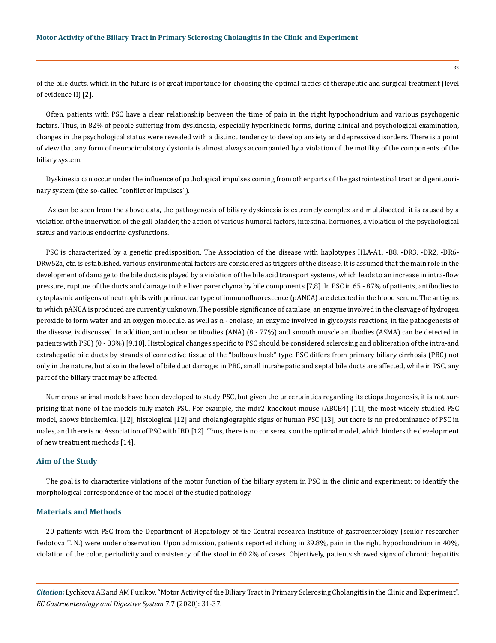of the bile ducts, which in the future is of great importance for choosing the optimal tactics of therapeutic and surgical treatment (level of evidence II) [2].

Often, patients with PSC have a clear relationship between the time of pain in the right hypochondrium and various psychogenic factors. Thus, in 82% of people suffering from dyskinesia, especially hyperkinetic forms, during clinical and psychological examination, changes in the psychological status were revealed with a distinct tendency to develop anxiety and depressive disorders. There is a point of view that any form of neurocirculatory dystonia is almost always accompanied by a violation of the motility of the components of the biliary system.

Dyskinesia can occur under the influence of pathological impulses coming from other parts of the gastrointestinal tract and genitourinary system (the so-called "conflict of impulses").

 As can be seen from the above data, the pathogenesis of biliary dyskinesia is extremely complex and multifaceted, it is caused by a violation of the innervation of the gall bladder, the action of various humoral factors, intestinal hormones, a violation of the psychological status and various endocrine dysfunctions.

PSC is characterized by a genetic predisposition. The Association of the disease with haplotypes HLA-A1, -B8, -DR3, -DR2, -DR6- DRw52a, etc. is established. various environmental factors are considered as triggers of the disease. It is assumed that the main role in the development of damage to the bile ducts is played by a violation of the bile acid transport systems, which leads to an increase in intra-flow pressure, rupture of the ducts and damage to the liver parenchyma by bile components [7,8]. In PSC in 65 - 87% of patients, antibodies to cytoplasmic antigens of neutrophils with perinuclear type of immunofluorescence (pANCA) are detected in the blood serum. The antigens to which pANCA is produced are currently unknown. The possible significance of catalase, an enzyme involved in the cleavage of hydrogen peroxide to form water and an oxygen molecule, as well as α - enolase, an enzyme involved in glycolysis reactions, in the pathogenesis of the disease, is discussed. In addition, antinuclear antibodies (ANA) (8 - 77%) and smooth muscle antibodies (ASMA) can be detected in patients with PSC)  $(0 - 83%)$  [9,10]. Histological changes specific to PSC should be considered sclerosing and obliteration of the intra-and extrahepatic bile ducts by strands of connective tissue of the "bulbous husk" type. PSC differs from primary biliary cirrhosis (PBC) not only in the nature, but also in the level of bile duct damage: in PBC, small intrahepatic and septal bile ducts are affected, while in PSC, any part of the biliary tract may be affected.

Numerous animal models have been developed to study PSC, but given the uncertainties regarding its etiopathogenesis, it is not surprising that none of the models fully match PSC. For example, the mdr2 knockout mouse (ABCB4) [11], the most widely studied PSC model, shows biochemical [12], histological [12] and cholangiographic signs of human PSC [13], but there is no predominance of PSC in males, and there is no Association of PSC with IBD [12]. Thus, there is no consensus on the optimal model, which hinders the development of new treatment methods [14].

## **Aim of the Study**

The goal is to characterize violations of the motor function of the biliary system in PSC in the clinic and experiment; to identify the morphological correspondence of the model of the studied pathology.

#### **Materials and Methods**

20 patients with PSC from the Department of Hepatology of the Central research Institute of gastroenterology (senior researcher Fedotova T. N.) were under observation. Upon admission, patients reported itching in 39.8%, pain in the right hypochondrium in 40%, violation of the color, periodicity and consistency of the stool in 60.2% of cases. Objectively, patients showed signs of chronic hepatitis

*Citation:* Lychkova AE and AM Puzikov. "Motor Activity of the Biliary Tract in Primary Sclerosing Cholangitis in the Clinic and Experiment". *EC Gastroenterology and Digestive System* 7.7 (2020): 31-37.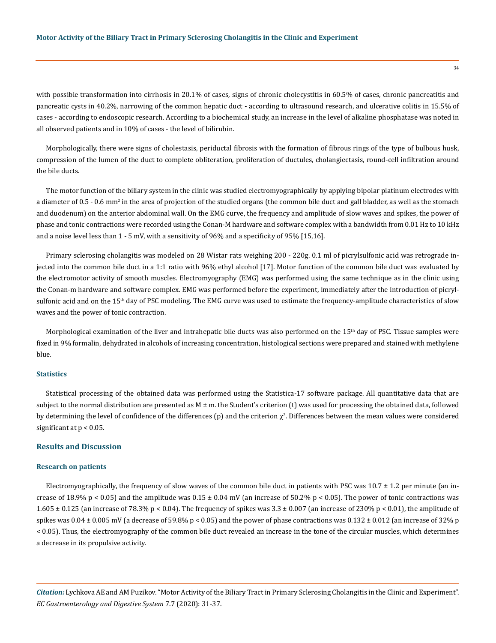with possible transformation into cirrhosis in 20.1% of cases, signs of chronic cholecystitis in 60.5% of cases, chronic pancreatitis and pancreatic cysts in 40.2%, narrowing of the common hepatic duct - according to ultrasound research, and ulcerative colitis in 15.5% of cases - according to endoscopic research. According to a biochemical study, an increase in the level of alkaline phosphatase was noted in all observed patients and in 10% of cases - the level of bilirubin.

Morphologically, there were signs of cholestasis, periductal fibrosis with the formation of fibrous rings of the type of bulbous husk, compression of the lumen of the duct to complete obliteration, proliferation of ductules, cholangiectasis, round-cell infiltration around the bile ducts.

The motor function of the biliary system in the clinic was studied electromyographically by applying bipolar platinum electrodes with a diameter of 0.5 - 0.6 mm<sup>2</sup> in the area of projection of the studied organs (the common bile duct and gall bladder, as well as the stomach and duodenum) on the anterior abdominal wall. On the EMG curve, the frequency and amplitude of slow waves and spikes, the power of phase and tonic contractions were recorded using the Conan-M hardware and software complex with a bandwidth from 0.01 Hz to 10 kHz and a noise level less than 1 - 5 mV, with a sensitivity of 96% and a specificity of 95% [15,16].

Primary sclerosing cholangitis was modeled on 28 Wistar rats weighing 200 - 220g. 0.1 ml of picrylsulfonic acid was retrograde injected into the common bile duct in a 1:1 ratio with 96% ethyl alcohol [17]. Motor function of the common bile duct was evaluated by the electromotor activity of smooth muscles. Electromyography (EMG) was performed using the same technique as in the clinic using the Conan-m hardware and software complex. EMG was performed before the experiment, immediately after the introduction of picrylsulfonic acid and on the 15<sup>th</sup> day of PSC modeling. The EMG curve was used to estimate the frequency-amplitude characteristics of slow waves and the power of tonic contraction.

Morphological examination of the liver and intrahepatic bile ducts was also performed on the  $15<sup>th</sup>$  day of PSC. Tissue samples were fixed in 9% formalin, dehydrated in alcohols of increasing concentration, histological sections were prepared and stained with methylene blue.

# **Statistics**

Statistical processing of the obtained data was performed using the Statistica-17 software package. All quantitative data that are subject to the normal distribution are presented as  $M \pm m$ . the Student's criterion (t) was used for processing the obtained data, followed by determining the level of confidence of the differences (p) and the criterion  $\chi^2$ . Differences between the mean values were considered significant at  $p < 0.05$ .

# **Results and Discussion**

#### **Research on patients**

Electromyographically, the frequency of slow waves of the common bile duct in patients with PSC was  $10.7 \pm 1.2$  per minute (an increase of 18.9% p < 0.05) and the amplitude was  $0.15 \pm 0.04$  mV (an increase of 50.2% p < 0.05). The power of tonic contractions was 1.605  $\pm$  0.125 (an increase of 78.3% p < 0.04). The frequency of spikes was 3.3  $\pm$  0.007 (an increase of 230% p < 0.01), the amplitude of spikes was  $0.04 \pm 0.005$  mV (a decrease of 59.8% p < 0.05) and the power of phase contractions was  $0.132 \pm 0.012$  (an increase of 32% p < 0.05). Thus, the electromyography of the common bile duct revealed an increase in the tone of the circular muscles, which determines a decrease in its propulsive activity.

*Citation:* Lychkova AE and AM Puzikov. "Motor Activity of the Biliary Tract in Primary Sclerosing Cholangitis in the Clinic and Experiment". *EC Gastroenterology and Digestive System* 7.7 (2020): 31-37.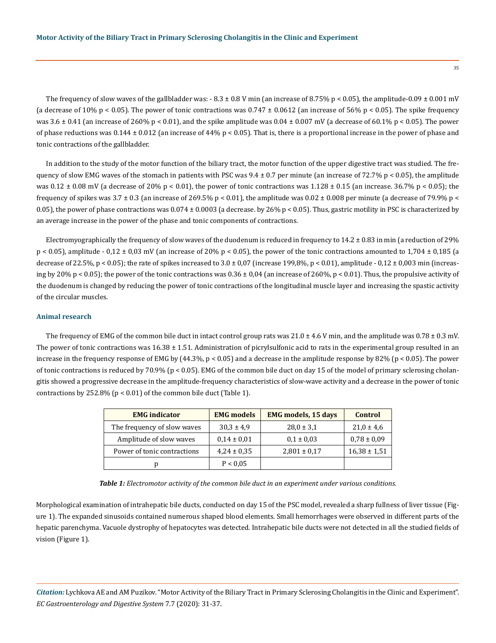The frequency of slow waves of the gallbladder was:  $-8.3 \pm 0.8$  V min (an increase of 8.75% p < 0.05), the amplitude-0.09  $\pm$  0.001 mV (a decrease of 10% p < 0.05). The power of tonic contractions was  $0.747 \pm 0.0612$  (an increase of 56% p < 0.05). The spike frequency was  $3.6 \pm 0.41$  (an increase of 260% p < 0.01), and the spike amplitude was  $0.04 \pm 0.007$  mV (a decrease of 60.1% p < 0.05). The power of phase reductions was  $0.144 \pm 0.012$  (an increase of 44% p < 0.05). That is, there is a proportional increase in the power of phase and tonic contractions of the gallbladder.

In addition to the study of the motor function of the biliary tract, the motor function of the upper digestive tract was studied. The frequency of slow EMG waves of the stomach in patients with PSC was  $9.4 \pm 0.7$  per minute (an increase of 72.7% p < 0.05), the amplitude was  $0.12 \pm 0.08$  mV (a decrease of 20% p < 0.01), the power of tonic contractions was  $1.128 \pm 0.15$  (an increase. 36.7% p < 0.05); the frequency of spikes was  $3.7 \pm 0.3$  (an increase of 269.5% p < 0.01), the amplitude was  $0.02 \pm 0.008$  per minute (a decrease of 79.9% p < 0.05), the power of phase contractions was  $0.074 \pm 0.0003$  (a decrease. by 26% p < 0.05). Thus, gastric motility in PSC is characterized by an average increase in the power of the phase and tonic components of contractions.

Electromyographically the frequency of slow waves of the duodenum is reduced in frequency to  $14.2 \pm 0.83$  in min (a reduction of 29%  $p < 0.05$ ), amplitude - 0,12 ± 0,03 mV (an increase of 20% p < 0.05), the power of the tonic contractions amounted to 1,704 ± 0,185 (a decrease of 22.5%,  $p < 0.05$ ; the rate of spikes increased to  $3.0 \pm 0.07$  (increase 199,8%,  $p < 0.01$ ), amplitude - 0,12  $\pm$  0,003 min (increasing by 20% p < 0.05); the power of the tonic contractions was  $0.36 \pm 0.04$  (an increase of 260%, p < 0.01). Thus, the propulsive activity of the duodenum is changed by reducing the power of tonic contractions of the longitudinal muscle layer and increasing the spastic activity of the circular muscles.

## **Animal research**

The frequency of EMG of the common bile duct in intact control group rats was  $21.0 \pm 4.6$  V min, and the amplitude was  $0.78 \pm 0.3$  mV. The power of tonic contractions was  $16.38 \pm 1.51$ . Administration of picrylsulfonic acid to rats in the experimental group resulted in an increase in the frequency response of EMG by  $(44.3\%, p < 0.05)$  and a decrease in the amplitude response by 82% ( $p < 0.05$ ). The power of tonic contractions is reduced by 70.9% (p < 0.05). EMG of the common bile duct on day 15 of the model of primary sclerosing cholangitis showed a progressive decrease in the amplitude-frequency characteristics of slow-wave activity and a decrease in the power of tonic contractions by 252.8% (p < 0.01) of the common bile duct (Table 1).

| <b>EMG</b> indicator        | <b>EMG</b> models | <b>EMG</b> models, 15 days | Control          |
|-----------------------------|-------------------|----------------------------|------------------|
| The frequency of slow waves | $30.3 \pm 4.9$    | $28.0 \pm 3.1$             | $21.0 \pm 4.6$   |
| Amplitude of slow waves     | $0.14 \pm 0.01$   | $0.1 \pm 0.03$             | $0.78 \pm 0.09$  |
| Power of tonic contractions | $4,24 \pm 0,35$   | $2,801 \pm 0.17$           | $16,38 \pm 1,51$ |
|                             | P < 0.05          |                            |                  |

*Table 1: Electromotor activity of the common bile duct in an experiment under various conditions.*

Morphological examination of intrahepatic bile ducts, conducted on day 15 of the PSC model, revealed a sharp fullness of liver tissue (Figure 1). The expanded sinusoids contained numerous shaped blood elements. Small hemorrhages were observed in different parts of the hepatic parenchyma. Vacuole dystrophy of hepatocytes was detected. Intrahepatic bile ducts were not detected in all the studied fields of vision (Figure 1).

*Citation:* Lychkova AE and AM Puzikov. "Motor Activity of the Biliary Tract in Primary Sclerosing Cholangitis in the Clinic and Experiment". *EC Gastroenterology and Digestive System* 7.7 (2020): 31-37.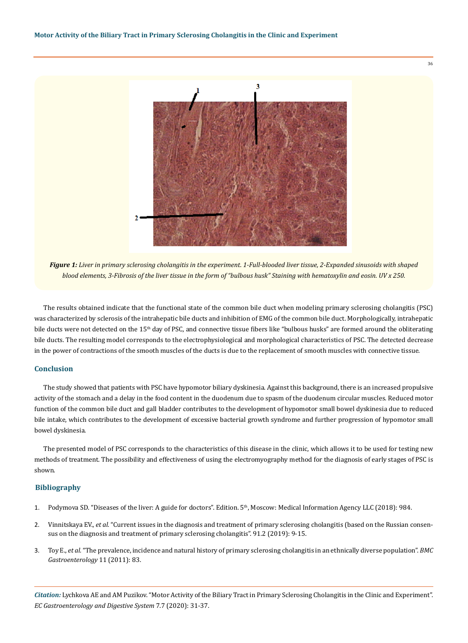

*Figure 1: Liver in primary sclerosing cholangitis in the experiment. 1-Full-blooded liver tissue, 2-Expanded sinusoids with shaped blood elements, 3-Fibrosis of the liver tissue in the form of "bulbous husk" Staining with hematoxylin and eosin. UV x 250.*

The results obtained indicate that the functional state of the common bile duct when modeling primary sclerosing cholangitis (PSC) was characterized by sclerosis of the intrahepatic bile ducts and inhibition of EMG of the common bile duct. Morphologically, intrahepatic bile ducts were not detected on the 15<sup>th</sup> day of PSC, and connective tissue fibers like "bulbous husks" are formed around the obliterating bile ducts. The resulting model corresponds to the electrophysiological and morphological characteristics of PSC. The detected decrease in the power of contractions of the smooth muscles of the ducts is due to the replacement of smooth muscles with connective tissue.

# **Conclusion**

The study showed that patients with PSC have hypomotor biliary dyskinesia. Against this background, there is an increased propulsive activity of the stomach and a delay in the food content in the duodenum due to spasm of the duodenum circular muscles. Reduced motor function of the common bile duct and gall bladder contributes to the development of hypomotor small bowel dyskinesia due to reduced bile intake, which contributes to the development of excessive bacterial growth syndrome and further progression of hypomotor small bowel dyskinesia.

The presented model of PSC corresponds to the characteristics of this disease in the clinic, which allows it to be used for testing new methods of treatment. The possibility and effectiveness of using the electromyography method for the diagnosis of early stages of PSC is shown.

## **Bibliography**

- 1. Podymova SD. "Diseases of the liver: A guide for doctors". Edition. 5th, Moscow: Medical Information Agency LLC (2018): 984.
- 2. Vinnitskaya EV., *et al.* "Current issues in the diagnosis and treatment of primary sclerosing cholangitis (based on the Russian consensus on the diagnosis and treatment of primary sclerosing cholangitis". 91.2 (2019): 9-15.
- 3. Toy E., *et al.* ["The prevalence, incidence and natural history of primary sclerosing cholangitis in an ethnically diverse population".](https://pubmed.ncbi.nlm.nih.gov/21767410/) *BMC [Gastroenterology](https://pubmed.ncbi.nlm.nih.gov/21767410/)* 11 (2011): 83.

*Citation:* Lychkova AE and AM Puzikov. "Motor Activity of the Biliary Tract in Primary Sclerosing Cholangitis in the Clinic and Experiment". *EC Gastroenterology and Digestive System* 7.7 (2020): 31-37.